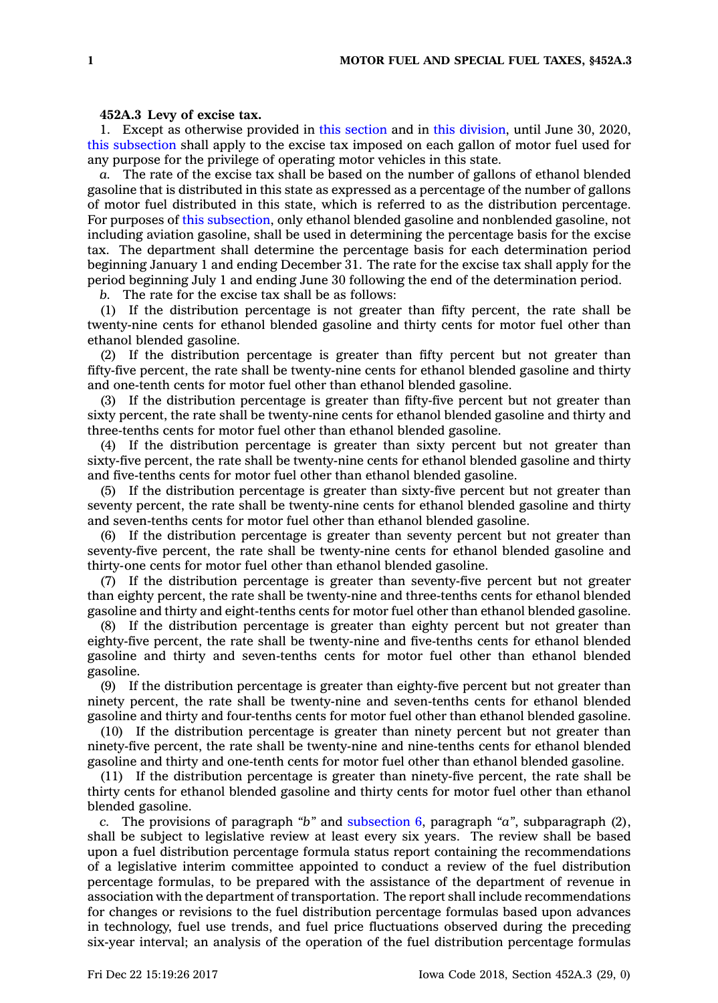## **452A.3 Levy of excise tax.**

1. Except as otherwise provided in this [section](https://www.legis.iowa.gov/docs/code/452A.3.pdf) and in this [division](https://www.legis.iowa.gov/docs/code//452A.pdf), until June 30, 2020, this [subsection](https://www.legis.iowa.gov/docs/code/452A.3.pdf) shall apply to the excise tax imposed on each gallon of motor fuel used for any purpose for the privilege of operating motor vehicles in this state.

*a.* The rate of the excise tax shall be based on the number of gallons of ethanol blended gasoline that is distributed in this state as expressed as <sup>a</sup> percentage of the number of gallons of motor fuel distributed in this state, which is referred to as the distribution percentage. For purposes of this [subsection](https://www.legis.iowa.gov/docs/code/452A.3.pdf), only ethanol blended gasoline and nonblended gasoline, not including aviation gasoline, shall be used in determining the percentage basis for the excise tax. The department shall determine the percentage basis for each determination period beginning January 1 and ending December 31. The rate for the excise tax shall apply for the period beginning July 1 and ending June 30 following the end of the determination period.

*b.* The rate for the excise tax shall be as follows:

(1) If the distribution percentage is not greater than fifty percent, the rate shall be twenty-nine cents for ethanol blended gasoline and thirty cents for motor fuel other than ethanol blended gasoline.

(2) If the distribution percentage is greater than fifty percent but not greater than fifty-five percent, the rate shall be twenty-nine cents for ethanol blended gasoline and thirty and one-tenth cents for motor fuel other than ethanol blended gasoline.

(3) If the distribution percentage is greater than fifty-five percent but not greater than sixty percent, the rate shall be twenty-nine cents for ethanol blended gasoline and thirty and three-tenths cents for motor fuel other than ethanol blended gasoline.

(4) If the distribution percentage is greater than sixty percent but not greater than sixty-five percent, the rate shall be twenty-nine cents for ethanol blended gasoline and thirty and five-tenths cents for motor fuel other than ethanol blended gasoline.

(5) If the distribution percentage is greater than sixty-five percent but not greater than seventy percent, the rate shall be twenty-nine cents for ethanol blended gasoline and thirty and seven-tenths cents for motor fuel other than ethanol blended gasoline.

(6) If the distribution percentage is greater than seventy percent but not greater than seventy-five percent, the rate shall be twenty-nine cents for ethanol blended gasoline and thirty-one cents for motor fuel other than ethanol blended gasoline.

(7) If the distribution percentage is greater than seventy-five percent but not greater than eighty percent, the rate shall be twenty-nine and three-tenths cents for ethanol blended gasoline and thirty and eight-tenths cents for motor fuel other than ethanol blended gasoline.

(8) If the distribution percentage is greater than eighty percent but not greater than eighty-five percent, the rate shall be twenty-nine and five-tenths cents for ethanol blended gasoline and thirty and seven-tenths cents for motor fuel other than ethanol blended gasoline.

(9) If the distribution percentage is greater than eighty-five percent but not greater than ninety percent, the rate shall be twenty-nine and seven-tenths cents for ethanol blended gasoline and thirty and four-tenths cents for motor fuel other than ethanol blended gasoline.

(10) If the distribution percentage is greater than ninety percent but not greater than ninety-five percent, the rate shall be twenty-nine and nine-tenths cents for ethanol blended gasoline and thirty and one-tenth cents for motor fuel other than ethanol blended gasoline.

(11) If the distribution percentage is greater than ninety-five percent, the rate shall be thirty cents for ethanol blended gasoline and thirty cents for motor fuel other than ethanol blended gasoline.

*c.* The provisions of paragraph *"b"* and [subsection](https://www.legis.iowa.gov/docs/code/452A.3.pdf) 6, paragraph *"a"*, subparagraph (2), shall be subject to legislative review at least every six years. The review shall be based upon <sup>a</sup> fuel distribution percentage formula status report containing the recommendations of <sup>a</sup> legislative interim committee appointed to conduct <sup>a</sup> review of the fuel distribution percentage formulas, to be prepared with the assistance of the department of revenue in association with the department of transportation. The report shall include recommendations for changes or revisions to the fuel distribution percentage formulas based upon advances in technology, fuel use trends, and fuel price fluctuations observed during the preceding six-year interval; an analysis of the operation of the fuel distribution percentage formulas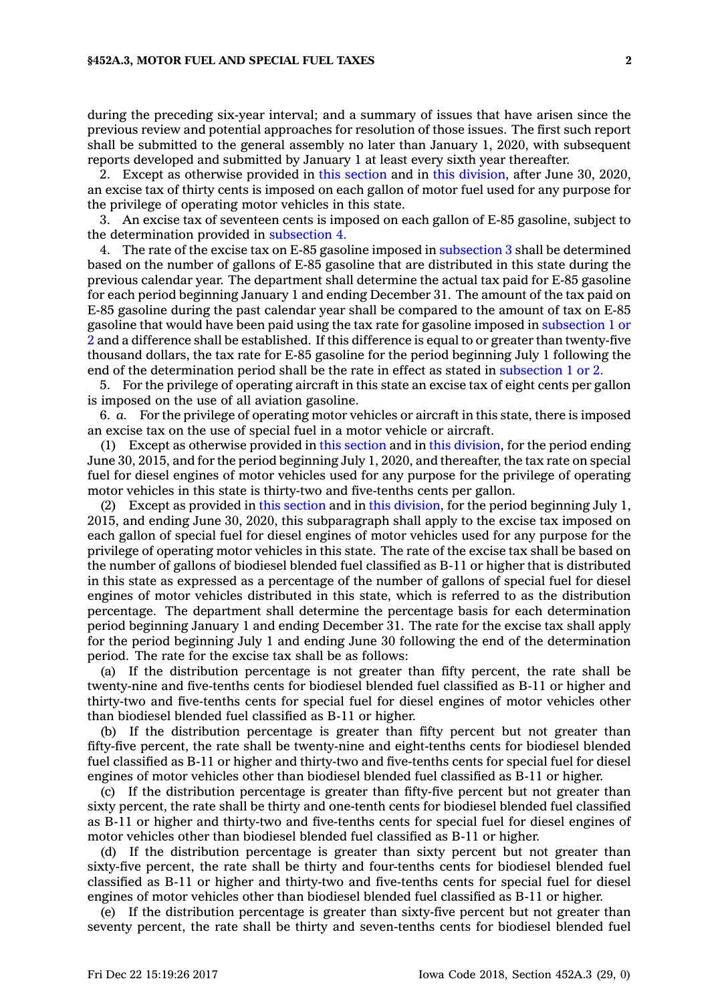during the preceding six-year interval; and <sup>a</sup> summary of issues that have arisen since the previous review and potential approaches for resolution of those issues. The first such report shall be submitted to the general assembly no later than January 1, 2020, with subsequent reports developed and submitted by January 1 at least every sixth year thereafter.

2. Except as otherwise provided in this [section](https://www.legis.iowa.gov/docs/code/452A.3.pdf) and in this [division](https://www.legis.iowa.gov/docs/code//452A.pdf), after June 30, 2020, an excise tax of thirty cents is imposed on each gallon of motor fuel used for any purpose for the privilege of operating motor vehicles in this state.

3. An excise tax of seventeen cents is imposed on each gallon of E-85 gasoline, subject to the determination provided in [subsection](https://www.legis.iowa.gov/docs/code/452A.3.pdf) 4.

4. The rate of the excise tax on E-85 gasoline imposed in [subsection](https://www.legis.iowa.gov/docs/code/452A.3.pdf) 3 shall be determined based on the number of gallons of E-85 gasoline that are distributed in this state during the previous calendar year. The department shall determine the actual tax paid for E-85 gasoline for each period beginning January 1 and ending December 31. The amount of the tax paid on E-85 gasoline during the past calendar year shall be compared to the amount of tax on E-85 gasoline that would have been paid using the tax rate for gasoline imposed in [subsection](https://www.legis.iowa.gov/docs/code/452A.3.pdf) 1 or [2](https://www.legis.iowa.gov/docs/code/452A.3.pdf) and <sup>a</sup> difference shall be established. If this difference is equal to or greater than twenty-five thousand dollars, the tax rate for E-85 gasoline for the period beginning July 1 following the end of the determination period shall be the rate in effect as stated in [subsection](https://www.legis.iowa.gov/docs/code/452A.3.pdf) 1 or 2.

5. For the privilege of operating aircraft in this state an excise tax of eight cents per gallon is imposed on the use of all aviation gasoline.

6. *a.* For the privilege of operating motor vehicles or aircraft in this state, there is imposed an excise tax on the use of special fuel in <sup>a</sup> motor vehicle or aircraft.

(1) Except as otherwise provided in this [section](https://www.legis.iowa.gov/docs/code/452A.3.pdf) and in this [division](https://www.legis.iowa.gov/docs/code//452A.pdf), for the period ending June 30, 2015, and for the period beginning July 1, 2020, and thereafter, the tax rate on special fuel for diesel engines of motor vehicles used for any purpose for the privilege of operating motor vehicles in this state is thirty-two and five-tenths cents per gallon.

(2) Except as provided in this [section](https://www.legis.iowa.gov/docs/code/452A.3.pdf) and in this [division](https://www.legis.iowa.gov/docs/code//452A.pdf), for the period beginning July 1, 2015, and ending June 30, 2020, this subparagraph shall apply to the excise tax imposed on each gallon of special fuel for diesel engines of motor vehicles used for any purpose for the privilege of operating motor vehicles in this state. The rate of the excise tax shall be based on the number of gallons of biodiesel blended fuel classified as B-11 or higher that is distributed in this state as expressed as <sup>a</sup> percentage of the number of gallons of special fuel for diesel engines of motor vehicles distributed in this state, which is referred to as the distribution percentage. The department shall determine the percentage basis for each determination period beginning January 1 and ending December 31. The rate for the excise tax shall apply for the period beginning July 1 and ending June 30 following the end of the determination period. The rate for the excise tax shall be as follows:

(a) If the distribution percentage is not greater than fifty percent, the rate shall be twenty-nine and five-tenths cents for biodiesel blended fuel classified as B-11 or higher and thirty-two and five-tenths cents for special fuel for diesel engines of motor vehicles other than biodiesel blended fuel classified as B-11 or higher.

(b) If the distribution percentage is greater than fifty percent but not greater than fifty-five percent, the rate shall be twenty-nine and eight-tenths cents for biodiesel blended fuel classified as B-11 or higher and thirty-two and five-tenths cents for special fuel for diesel engines of motor vehicles other than biodiesel blended fuel classified as B-11 or higher.

(c) If the distribution percentage is greater than fifty-five percent but not greater than sixty percent, the rate shall be thirty and one-tenth cents for biodiesel blended fuel classified as B-11 or higher and thirty-two and five-tenths cents for special fuel for diesel engines of motor vehicles other than biodiesel blended fuel classified as B-11 or higher.

(d) If the distribution percentage is greater than sixty percent but not greater than sixty-five percent, the rate shall be thirty and four-tenths cents for biodiesel blended fuel classified as B-11 or higher and thirty-two and five-tenths cents for special fuel for diesel engines of motor vehicles other than biodiesel blended fuel classified as B-11 or higher.

(e) If the distribution percentage is greater than sixty-five percent but not greater than seventy percent, the rate shall be thirty and seven-tenths cents for biodiesel blended fuel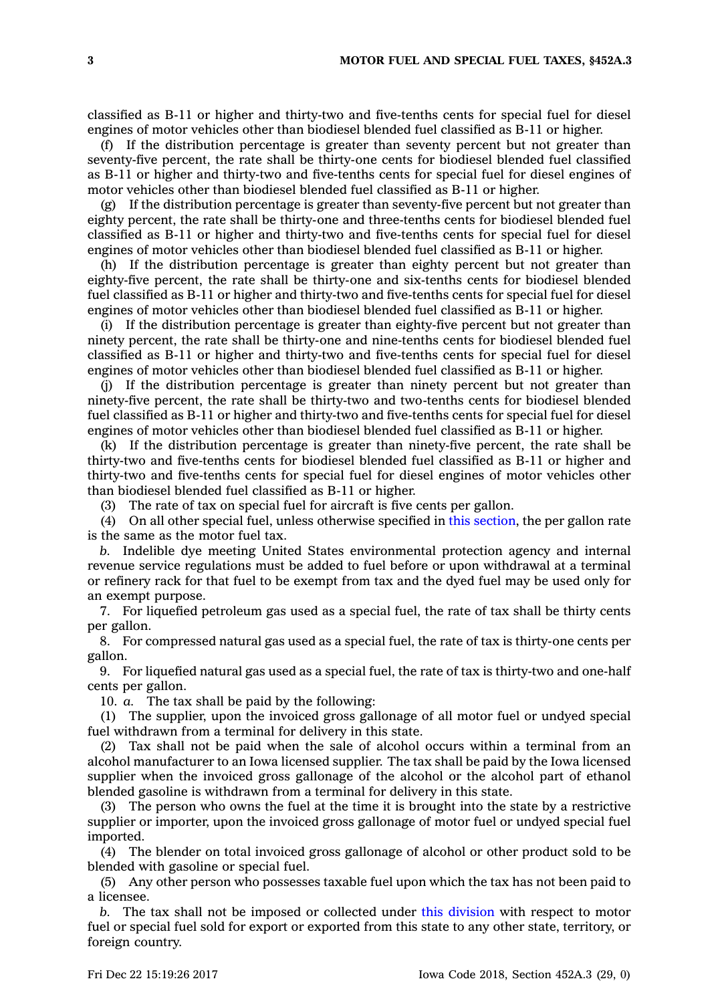classified as B-11 or higher and thirty-two and five-tenths cents for special fuel for diesel engines of motor vehicles other than biodiesel blended fuel classified as B-11 or higher.

(f) If the distribution percentage is greater than seventy percent but not greater than seventy-five percent, the rate shall be thirty-one cents for biodiesel blended fuel classified as B-11 or higher and thirty-two and five-tenths cents for special fuel for diesel engines of motor vehicles other than biodiesel blended fuel classified as B-11 or higher.

(g) If the distribution percentage is greater than seventy-five percent but not greater than eighty percent, the rate shall be thirty-one and three-tenths cents for biodiesel blended fuel classified as B-11 or higher and thirty-two and five-tenths cents for special fuel for diesel engines of motor vehicles other than biodiesel blended fuel classified as B-11 or higher.

(h) If the distribution percentage is greater than eighty percent but not greater than eighty-five percent, the rate shall be thirty-one and six-tenths cents for biodiesel blended fuel classified as B-11 or higher and thirty-two and five-tenths cents for special fuel for diesel engines of motor vehicles other than biodiesel blended fuel classified as B-11 or higher.

(i) If the distribution percentage is greater than eighty-five percent but not greater than ninety percent, the rate shall be thirty-one and nine-tenths cents for biodiesel blended fuel classified as B-11 or higher and thirty-two and five-tenths cents for special fuel for diesel engines of motor vehicles other than biodiesel blended fuel classified as B-11 or higher.

(j) If the distribution percentage is greater than ninety percent but not greater than ninety-five percent, the rate shall be thirty-two and two-tenths cents for biodiesel blended fuel classified as B-11 or higher and thirty-two and five-tenths cents for special fuel for diesel engines of motor vehicles other than biodiesel blended fuel classified as B-11 or higher.

(k) If the distribution percentage is greater than ninety-five percent, the rate shall be thirty-two and five-tenths cents for biodiesel blended fuel classified as B-11 or higher and thirty-two and five-tenths cents for special fuel for diesel engines of motor vehicles other than biodiesel blended fuel classified as B-11 or higher.

(3) The rate of tax on special fuel for aircraft is five cents per gallon.

(4) On all other special fuel, unless otherwise specified in this [section](https://www.legis.iowa.gov/docs/code/452A.3.pdf), the per gallon rate is the same as the motor fuel tax.

*b.* Indelible dye meeting United States environmental protection agency and internal revenue service regulations must be added to fuel before or upon withdrawal at <sup>a</sup> terminal or refinery rack for that fuel to be exempt from tax and the dyed fuel may be used only for an exempt purpose.

7. For liquefied petroleum gas used as <sup>a</sup> special fuel, the rate of tax shall be thirty cents per gallon.

8. For compressed natural gas used as <sup>a</sup> special fuel, the rate of tax is thirty-one cents per gallon.

9. For liquefied natural gas used as <sup>a</sup> special fuel, the rate of tax is thirty-two and one-half cents per gallon.

10. *a.* The tax shall be paid by the following:

(1) The supplier, upon the invoiced gross gallonage of all motor fuel or undyed special fuel withdrawn from <sup>a</sup> terminal for delivery in this state.

(2) Tax shall not be paid when the sale of alcohol occurs within <sup>a</sup> terminal from an alcohol manufacturer to an Iowa licensed supplier. The tax shall be paid by the Iowa licensed supplier when the invoiced gross gallonage of the alcohol or the alcohol part of ethanol blended gasoline is withdrawn from <sup>a</sup> terminal for delivery in this state.

(3) The person who owns the fuel at the time it is brought into the state by <sup>a</sup> restrictive supplier or importer, upon the invoiced gross gallonage of motor fuel or undyed special fuel imported.

(4) The blender on total invoiced gross gallonage of alcohol or other product sold to be blended with gasoline or special fuel.

(5) Any other person who possesses taxable fuel upon which the tax has not been paid to <sup>a</sup> licensee.

*b.* The tax shall not be imposed or collected under this [division](https://www.legis.iowa.gov/docs/code//452A.pdf) with respect to motor fuel or special fuel sold for export or exported from this state to any other state, territory, or foreign country.